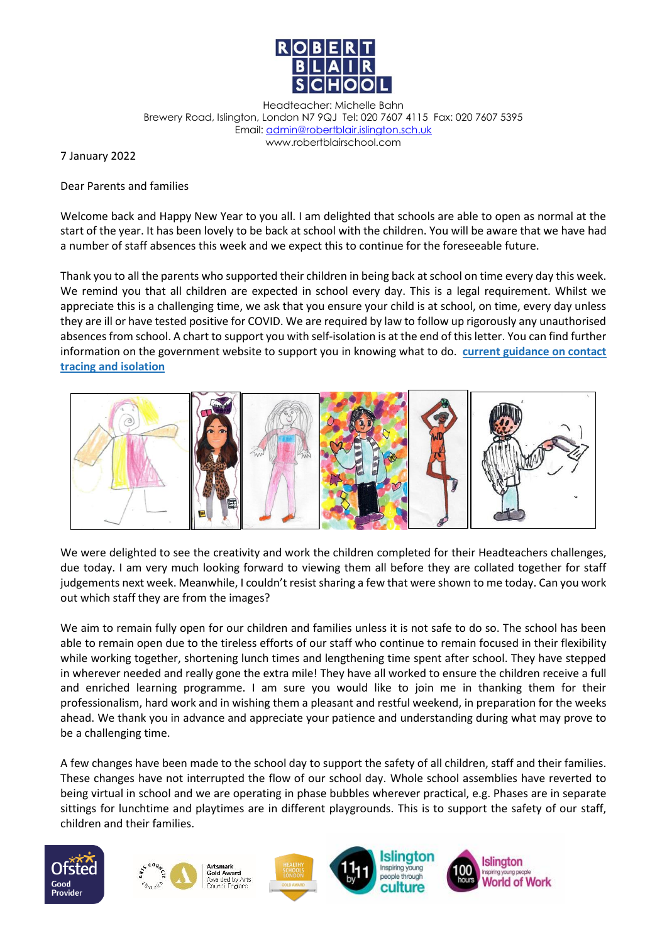

Headteacher: Michelle Bahn Brewery Road, Islington, London N7 9QJ Tel: 020 7607 4115 Fax: 020 7607 5395 Email[: admin@robertblair.islington.sch.uk](mailto:admin@robertblair.islington.sch.uk) www.robertblairschool.com

7 January 2022

## Dear Parents and families

Welcome back and Happy New Year to you all. I am delighted that schools are able to open as normal at the start of the year. It has been lovely to be back at school with the children. You will be aware that we have had a number of staff absences this week and we expect this to continue for the foreseeable future.

Thank you to all the parents who supported their children in being back at school on time every day this week. We remind you that all children are expected in school every day. This is a legal requirement. Whilst we appreciate this is a challenging time, we ask that you ensure your child is at school, on time, every day unless they are ill or have tested positive for COVID. We are required by law to follow up rigorously any unauthorised absences from school. A chart to support you with self-isolation is at the end of this letter. You can find further information on the government website to support you in knowing what to do. **[current guidance on contact](https://www.gov.uk/government/publications/covid-19-stay-at-home-guidance/stay-at-home-guidance-for-households-with-possible-coronavirus-covid-19-infection?utm_source=28%20November%202021%20C19&utm_medium=Daily%20Email%20C19&utm_campaign=DfE%20C19)  [tracing and isolation](https://www.gov.uk/government/publications/covid-19-stay-at-home-guidance/stay-at-home-guidance-for-households-with-possible-coronavirus-covid-19-infection?utm_source=28%20November%202021%20C19&utm_medium=Daily%20Email%20C19&utm_campaign=DfE%20C19)**



We were delighted to see the creativity and work the children completed for their Headteachers challenges, due today. I am very much looking forward to viewing them all before they are collated together for staff judgements next week. Meanwhile, I couldn't resist sharing a few that were shown to me today. Can you work out which staff they are from the images?

We aim to remain fully open for our children and families unless it is not safe to do so. The school has been able to remain open due to the tireless efforts of our staff who continue to remain focused in their flexibility while working together, shortening lunch times and lengthening time spent after school. They have stepped in wherever needed and really gone the extra mile! They have all worked to ensure the children receive a full and enriched learning programme. I am sure you would like to join me in thanking them for their professionalism, hard work and in wishing them a pleasant and restful weekend, in preparation for the weeks ahead. We thank you in advance and appreciate your patience and understanding during what may prove to be a challenging time.

A few changes have been made to the school day to support the safety of all children, staff and their families. These changes have not interrupted the flow of our school day. Whole school assemblies have reverted to being virtual in school and we are operating in phase bubbles wherever practical, e.g. Phases are in separate sittings for lunchtime and playtimes are in different playgrounds. This is to support the safety of our staff, children and their families.